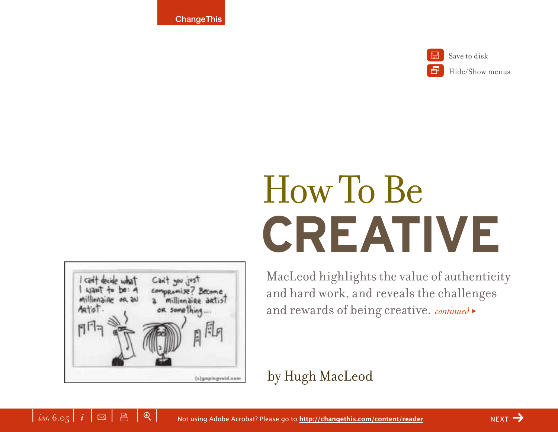**ChangeThis** 



Save to disk

Hide/Show menus

# **CREATIVE** How To Be



MacLeod highlights the value of authenticity and hard work, and reveals the challenges and rewards of being creative. *continued* <sup>&</sup>gt;

## by Hugh MacLeod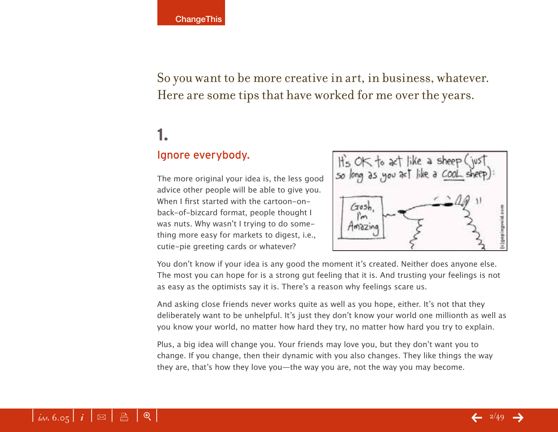So you want to be more creative in art, in business, whatever. Here are some tips that have worked for me over the years.

## **1.**

#### Ignore everybody.

The more original your idea is, the less good advice other people will be able to give you. When I first started with the cartoon-onback-of-bizcard format, people thought I was nuts. Why wasn't I trying to do something more easy for markets to digest, i.e., cutie-pie greeting cards or whatever?



You don't know if your idea is any good the moment it's created. Neither does anyone else. The most you can hope for is a strong gut feeling that it is. And trusting your feelings is not as easy as the optimists say it is. There's a reason why feelings scare us.

And asking close friends never works quite as well as you hope, either. It's not that they deliberately want to be unhelpful. It's just they don't know your world one millionth as well as you know your world, no matter how hard they try, no matter how hard you try to explain.

Plus, a big idea will change you. Your friends may love you, but they don't want you to change. If you change, then their dynamic with you also changes. They like things the way they are, that's how they love you—the way you are, not the way you may become.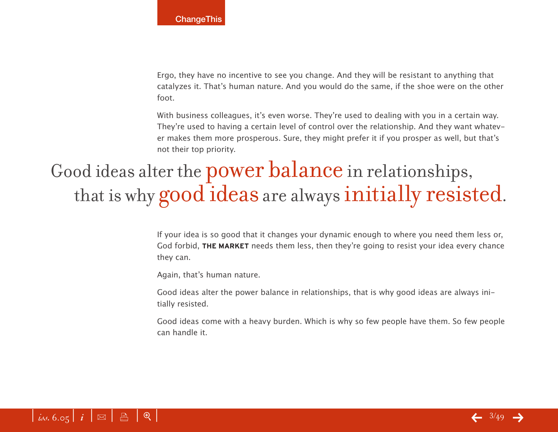Ergo, they have no incentive to see you change. And they will be resistant to anything that catalyzes it. That's human nature. And you would do the same, if the shoe were on the other foot.

With business colleagues, it's even worse. They're used to dealing with you in a certain way. They're used to having a certain level of control over the relationship. And they want whatever makes them more prosperous. Sure, they might prefer it if you prosper as well, but that's not their top priority.

## Good ideas alter the power balance in relationships, that is why good ideas are always initially resisted.

If your idea is so good that it changes your dynamic enough to where you need them less or, God forbid, **THE MARKET** needs them less, then they're going to resist your idea every chance they can.

Again, that's human nature.

Good ideas alter the power balance in relationships, that is why good ideas are always initially resisted.

Good ideas come with a heavy burden. Which is why so few people have them. So few people can handle it.



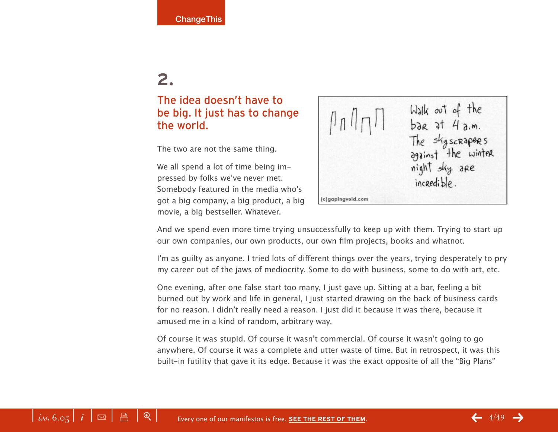#### The idea doesn't have to be big. It just has to change the world.

The two are not the same thing.

We all spend a lot of time being impressed by folks we've never met. Somebody featured in the media who's got a big company, a big product, a big movie, a big bestseller. Whatever.



And we spend even more time trying unsuccessfully to keep up with them. Trying to start up our own companies, our own products, our own film projects, books and whatnot.

I'm as guilty as anyone. I tried lots of different things over the years, trying desperately to pry my career out of the jaws of mediocrity. Some to do with business, some to do with art, etc.

One evening, after one false start too many, I just gave up. Sitting at a bar, feeling a bit burned out by work and life in general, I just started drawing on the back of business cards for no reason. I didn't really need a reason. I just did it because it was there, because it amused me in a kind of random, arbitrary way.

Of course it was stupid. Of course it wasn't commercial. Of course it wasn't going to go anywhere. Of course it was a complete and utter waste of time. But in retrospect, it was this built-in futility that gave it its edge. Because it was the exact opposite of all the "Big Plans"

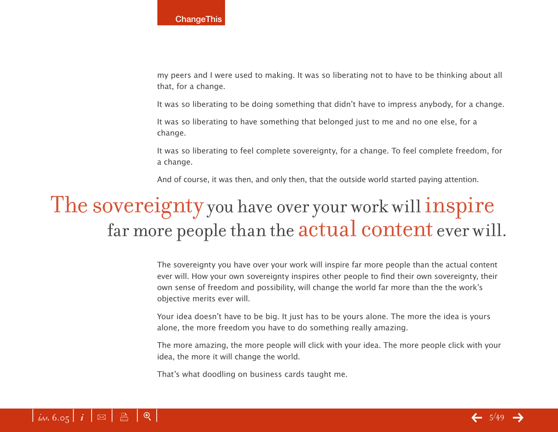my peers and I were used to making. It was so liberating not to have to be thinking about all that, for a change.

It was so liberating to be doing something that didn't have to impress anybody, for a change.

It was so liberating to have something that belonged just to me and no one else, for a change.

It was so liberating to feel complete sovereignty, for a change. To feel complete freedom, for a change.

And of course, it was then, and only then, that the outside world started paying attention.

## The sovereignty you have over your work will inspire far more people than the actual content ever will.

The sovereignty you have over your work will inspire far more people than the actual content ever will. How your own sovereignty inspires other people to find their own sovereignty, their own sense of freedom and possibility, will change the world far more than the the work's objective merits ever will.

Your idea doesn't have to be big. It just has to be yours alone. The more the idea is yours alone, the more freedom you have to do something really amazing.

The more amazing, the more people will click with your idea. The more people click with your idea, the more it will change the world.

That's what doodling on business cards taught me.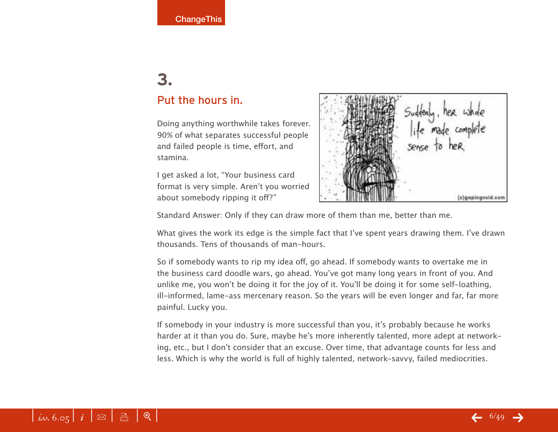### **3.**  Put the hours in.

Doing anything worthwhile takes forever. 90% of what separates successful people and failed people is time, effort, and stamina.

I get asked a lot, "Your business card format is very simple. Aren't you worried about somebody ripping it off?"



Standard Answer: Only if they can draw more of them than me, better than me.

What gives the work its edge is the simple fact that I've spent years drawing them. I've drawn thousands. Tens of thousands of man-hours.

So if somebody wants to rip my idea off, go ahead. If somebody wants to overtake me in the business card doodle wars, go ahead. You've got many long years in front of you. And unlike me, you won't be doing it for the joy of it. You'll be doing it for some self-loathing, ill-informed, lame-ass mercenary reason. So the years will be even longer and far, far more painful. Lucky you.

If somebody in your industry is more successful than you, it's probably because he works harder at it than you do. Sure, maybe he's more inherently talented, more adept at networking, etc., but I don't consider that an excuse. Over time, that advantage counts for less and less. Which is why the world is full of highly talented, network-savvy, failed mediocrities.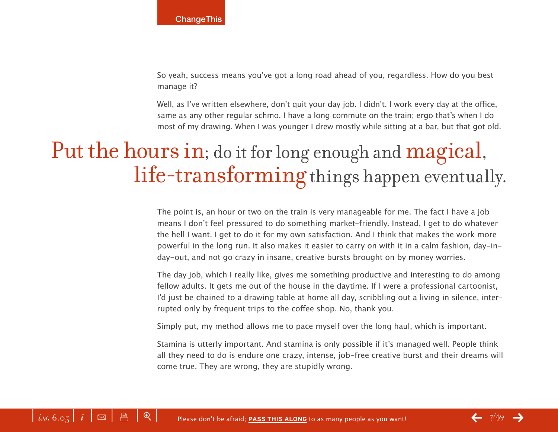So yeah, success means you've got a long road ahead of you, regardless. How do you best manage it?

Well, as I've written elsewhere, don't quit your day job. I didn't. I work every day at the office, same as any other regular schmo. I have a long commute on the train; ergo that's when I do most of my drawing. When I was younger I drew mostly while sitting at a bar, but that got old.

## Put the hours in; do it for long enough and magical, life-transforming things happen eventually.

The point is, an hour or two on the train is very manageable for me. The fact I have a job means I don't feel pressured to do something market-friendly. Instead, I get to do whatever the hell I want. I get to do it for my own satisfaction. And I think that makes the work more powerful in the long run. It also makes it easier to carry on with it in a calm fashion, day-inday-out, and not go crazy in insane, creative bursts brought on by money worries.

The day job, which I really like, gives me something productive and interesting to do among fellow adults. It gets me out of the house in the daytime. If I were a professional cartoonist, I'd just be chained to a drawing table at home all day, scribbling out a living in silence, interrupted only by frequent trips to the coffee shop. No, thank you.

Simply put, my method allows me to pace myself over the long haul, which is important.

Stamina is utterly important. And stamina is only possible if it's managed well. People think all they need to do is endure one crazy, intense, job-free creative burst and their dreams will come true. They are wrong, they are stupidly wrong.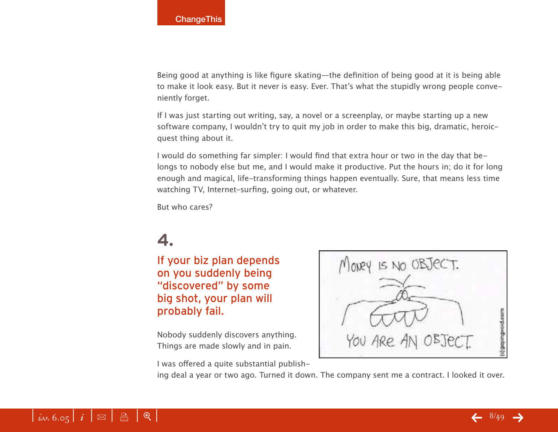Being good at anything is like figure skating—the definition of being good at it is being able to make it look easy. But it never is easy. Ever. That's what the stupidly wrong people conveniently forget.

If I was just starting out writing, say, a novel or a screenplay, or maybe starting up a new software company, I wouldn't try to quit my job in order to make this big, dramatic, heroicquest thing about it.

I would do something far simpler: I would find that extra hour or two in the day that belongs to nobody else but me, and I would make it productive. Put the hours in; do it for long enough and magical, life-transforming things happen eventually. Sure, that means less time watching TV, Internet-surfing, going out, or whatever.

But who cares?

### **4.**

If your biz plan depends on you suddenly being "discovered" by some big shot, your plan will probably fail.

Nobody suddenly discovers anything. Things are made slowly and in pain.



I was offered a quite substantial publish-

ing deal a year or two ago. Turned it down. The company sent me a contract. I looked it over.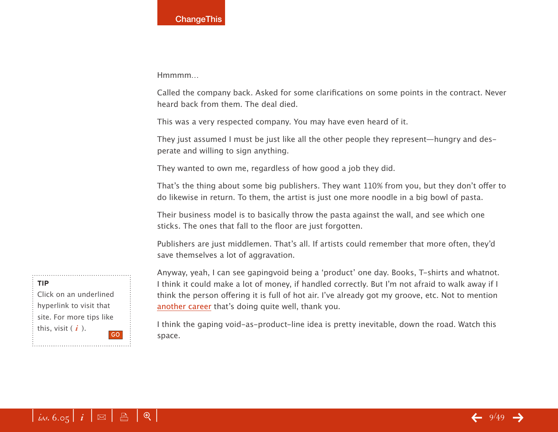Hmmmm…

Called the company back. Asked for some clarifications on some points in the contract. Never heard back from them. The deal died.

This was a very respected company. You may have even heard of it.

They just assumed I must be just like all the other people they represent—hungry and desperate and willing to sign anything.

They wanted to own me, regardless of how good a job they did.

That's the thing about some big publishers. They want 110% from you, but they don't offer to do likewise in return. To them, the artist is just one more noodle in a big bowl of pasta.

Their business model is to basically throw the pasta against the wall, and see which one sticks. The ones that fall to the floor are just forgotten.

Publishers are just middlemen. That's all. If artists could remember that more often, they'd save themselves a lot of aggravation.

Anyway, yeah, I can see gapingvoid being a ʻproduct' one day. Books, T-shirts and whatnot. I think it could make a lot of money, if handled correctly. But I'm not afraid to walk away if I think the person offering it is full of hot air. I've already got my groove, etc. Not to mention another career that's doing quite well, thank you.

I think the gaping void-as-product-line idea is pretty inevitable, down the road. Watch this space.



Click on an underlined hyperlink to visit that site. For more tips like this, visit ( *i* ). GO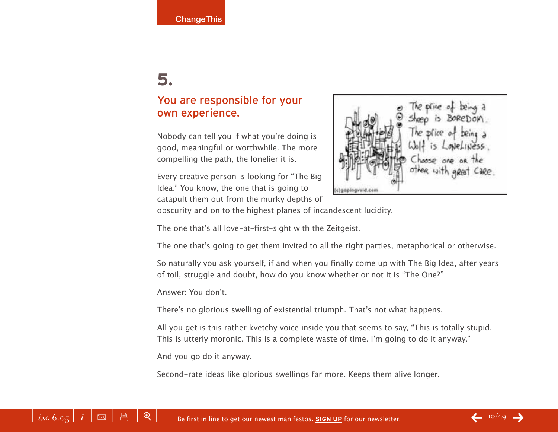#### You are responsible for your own experience.

Nobody can tell you if what you're doing is good, meaningful or worthwhile. The more compelling the path, the lonelier it is.

Every creative person is looking for "The Big Idea." You know, the one that is going to catapult them out from the murky depths of



obscurity and on to the highest planes of incandescent lucidity.

The one that's all love-at-first-sight with the Zeitgeist.

The one that's going to get them invited to all the right parties, metaphorical or otherwise.

So naturally you ask yourself, if and when you finally come up with The Big Idea, after years of toil, struggle and doubt, how do you know whether or not it is "The One?"

Answer: You don't.

There's no glorious swelling of existential triumph. That's not what happens.

All you get is this rather kvetchy voice inside you that seems to say, "This is totally stupid. This is utterly moronic. This is a complete waste of time. I'm going to do it anyway."

And you go do it anyway.

Second-rate ideas like glorious swellings far more. Keeps them alive longer.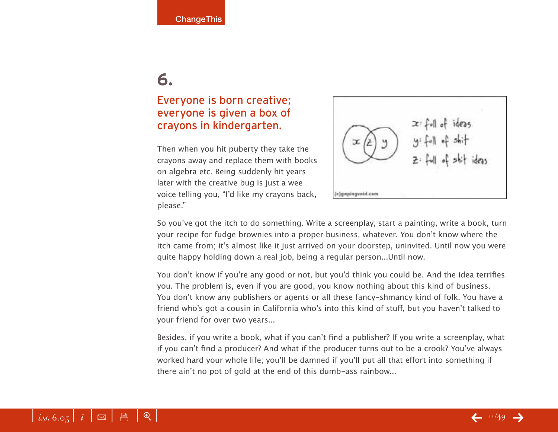#### Everyone is born creative; everyone is given a box of crayons in kindergarten.

Then when you hit puberty they take the crayons away and replace them with books on algebra etc. Being suddenly hit years later with the creative bug is just a wee voice telling you, "I'd like my crayons back, please."



So you've got the itch to do something. Write a screenplay, start a painting, write a book, turn your recipe for fudge brownies into a proper business, whatever. You don't know where the itch came from; it's almost like it just arrived on your doorstep, uninvited. Until now you were quite happy holding down a real job, being a regular person...Until now.

You don't know if you're any good or not, but you'd think you could be. And the idea terrifies you. The problem is, even if you are good, you know nothing about this kind of business. You don't know any publishers or agents or all these fancy-shmancy kind of folk. You have a friend who's got a cousin in California who's into this kind of stuff, but you haven't talked to your friend for over two years...

Besides, if you write a book, what if you can't find a publisher? If you write a screenplay, what if you can't find a producer? And what if the producer turns out to be a crook? You've always worked hard your whole life; you'll be damned if you'll put all that effort into something if there ain't no pot of gold at the end of this dumb-ass rainbow...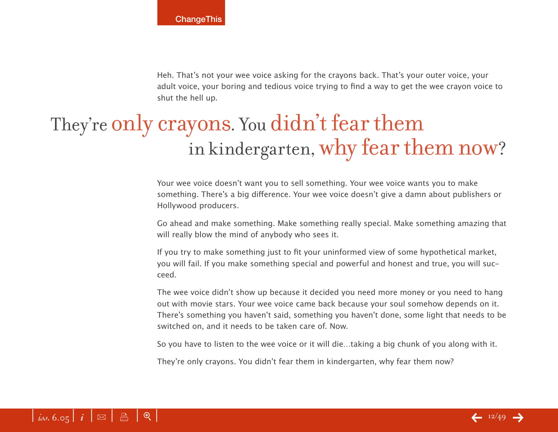Heh. That's not your wee voice asking for the crayons back. That's your outer voice, your adult voice, your boring and tedious voice trying to find a way to get the wee crayon voice to shut the hell up.

## They're only crayons. You didn't fear them in kindergarten, why fear them now?

Your wee voice doesn't want you to sell something. Your wee voice wants you to make something. There's a big difference. Your wee voice doesn't give a damn about publishers or Hollywood producers.

Go ahead and make something. Make something really special. Make something amazing that will really blow the mind of anybody who sees it.

If you try to make something just to fit your uninformed view of some hypothetical market, you will fail. If you make something special and powerful and honest and true, you will succeed.

The wee voice didn't show up because it decided you need more money or you need to hang out with movie stars. Your wee voice came back because your soul somehow depends on it. There's something you haven't said, something you haven't done, some light that needs to be switched on, and it needs to be taken care of. Now.

So you have to listen to the wee voice or it will die…taking a big chunk of you along with it.

They're only crayons. You didn't fear them in kindergarten, why fear them now?

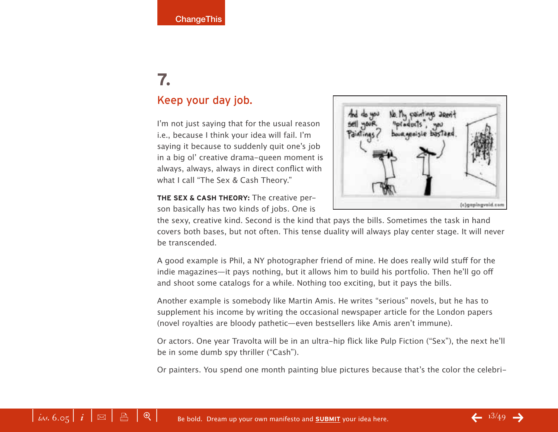### **7.**  Keep your day job.

I'm not just saying that for the usual reason i.e., because I think your idea will fail. I'm saying it because to suddenly quit one's job in a big ol' creative drama-queen moment is always, always, always in direct conflict with what I call "The Sex & Cash Theory."



**THE SEX & CASH THEORY:** The creative person basically has two kinds of jobs. One is

the sexy, creative kind. Second is the kind that pays the bills. Sometimes the task in hand covers both bases, but not often. This tense duality will always play center stage. It will never be transcended.

A good example is Phil, a NY photographer friend of mine. He does really wild stuff for the indie magazines—it pays nothing, but it allows him to build his portfolio. Then he'll go off and shoot some catalogs for a while. Nothing too exciting, but it pays the bills.

Another example is somebody like Martin Amis. He writes "serious" novels, but he has to supplement his income by writing the occasional newspaper article for the London papers (novel royalties are bloody pathetic—even bestsellers like Amis aren't immune).

Or actors. One year Travolta will be in an ultra-hip flick like Pulp Fiction ("Sex"), the next he'll be in some dumb spy thriller ("Cash").

Or painters. You spend one month painting blue pictures because that's the color the celebri-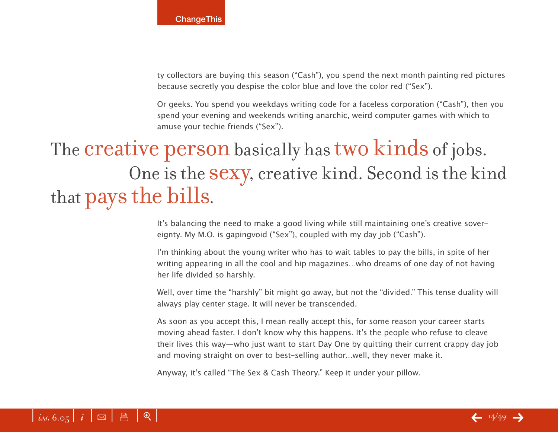ty collectors are buying this season ("Cash"), you spend the next month painting red pictures because secretly you despise the color blue and love the color red ("Sex").

Or geeks. You spend you weekdays writing code for a faceless corporation ("Cash"), then you spend your evening and weekends writing anarchic, weird computer games with which to amuse your techie friends ("Sex").

## The **creative person** basically has **two kinds** of jobs. One is the sexy, creative kind. Second is the kind that pays the bills.

It's balancing the need to make a good living while still maintaining one's creative sovereignty. My M.O. is gapingvoid ("Sex"), coupled with my day job ("Cash").

I'm thinking about the young writer who has to wait tables to pay the bills, in spite of her writing appearing in all the cool and hip magazines…who dreams of one day of not having her life divided so harshly.

Well, over time the "harshly" bit might go away, but not the "divided." This tense duality will always play center stage. It will never be transcended.

As soon as you accept this, I mean really accept this, for some reason your career starts moving ahead faster. I don't know why this happens. It's the people who refuse to cleave their lives this way—who just want to start Day One by quitting their current crappy day job and moving straight on over to best-selling author…well, they never make it.

Anyway, it's called "The Sex & Cash Theory." Keep it under your pillow.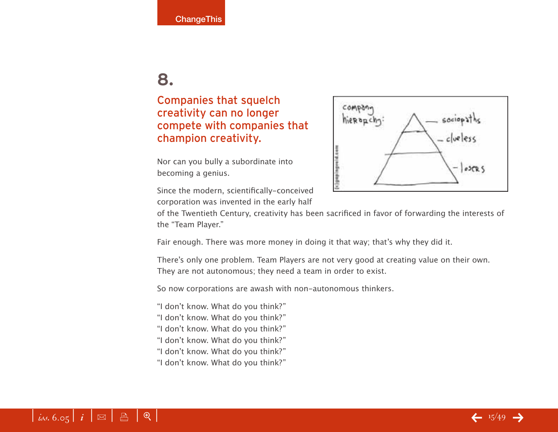#### Companies that squelch creativity can no longer compete with companies that champion creativity.

Nor can you bully a subordinate into becoming a genius.

Since the modern, scientifically-conceived corporation was invented in the early half



of the Twentieth Century, creativity has been sacrificed in favor of forwarding the interests of the "Team Player."

Fair enough. There was more money in doing it that way; that's why they did it.

There's only one problem. Team Players are not very good at creating value on their own. They are not autonomous; they need a team in order to exist.

So now corporations are awash with non-autonomous thinkers.

- "I don't know. What do you think?"
- "I don't know. What do you think?"
- "I don't know. What do you think?"
- "I don't know. What do you think?"
- "I don't know. What do you think?"
- "I don't know. What do you think?"

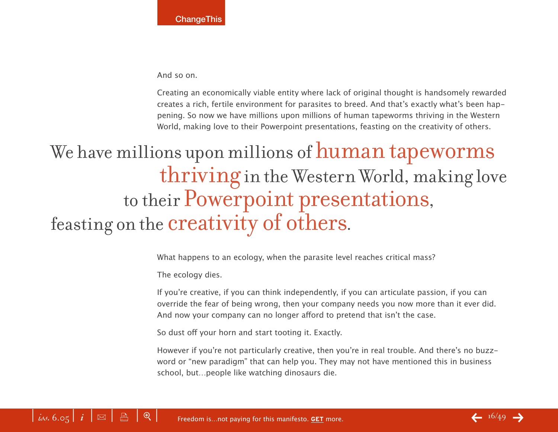And so on.

Creating an economically viable entity where lack of original thought is handsomely rewarded creates a rich, fertile environment for parasites to breed. And that's exactly what's been happening. So now we have millions upon millions of human tapeworms thriving in the Western World, making love to their Powerpoint presentations, feasting on the creativity of others.

## We have millions upon millions of human tapeworms thriving in the Western World, making love to their Powerpoint presentations, feasting on the creativity of others.

What happens to an ecology, when the parasite level reaches critical mass?

The ecology dies.

If you're creative, if you can think independently, if you can articulate passion, if you can override the fear of being wrong, then your company needs you now more than it ever did. And now your company can no longer afford to pretend that isn't the case.

So dust off your horn and start tooting it. Exactly.

However if you're not particularly creative, then you're in real trouble. And there's no buzzword or "new paradigm" that can help you. They may not have mentioned this in business school, but…people like watching dinosaurs die.

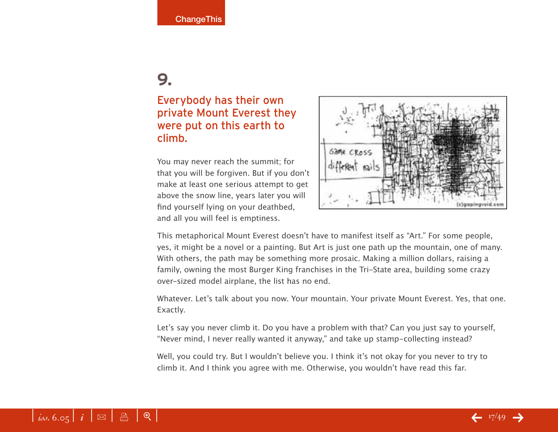#### Everybody has their own private Mount Everest they were put on this earth to climb.

You may never reach the summit; for that you will be forgiven. But if you don't make at least one serious attempt to get above the snow line, years later you will find yourself lying on your deathbed, and all you will feel is emptiness.



This metaphorical Mount Everest doesn't have to manifest itself as "Art." For some people, yes, it might be a novel or a painting. But Art is just one path up the mountain, one of many. With others, the path may be something more prosaic. Making a million dollars, raising a family, owning the most Burger King franchises in the Tri-State area, building some crazy over-sized model airplane, the list has no end.

Whatever. Let's talk about you now. Your mountain. Your private Mount Everest. Yes, that one. Exactly.

Let's say you never climb it. Do you have a problem with that? Can you just say to yourself, "Never mind, I never really wanted it anyway," and take up stamp-collecting instead?

Well, you could try. But I wouldn't believe you. I think it's not okay for you never to try to climb it. And I think you agree with me. Otherwise, you wouldn't have read this far.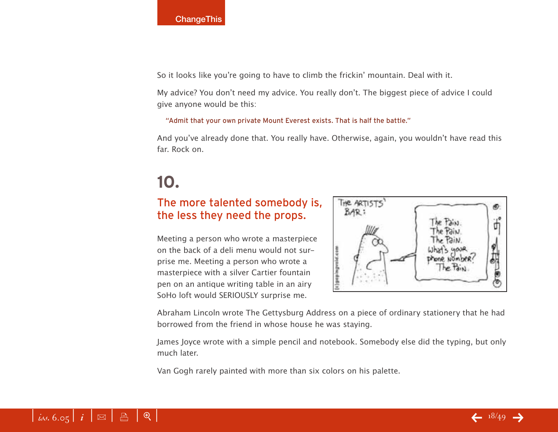So it looks like you're going to have to climb the frickin' mountain. Deal with it.

My advice? You don't need my advice. You really don't. The biggest piece of advice I could give anyone would be this:

"Admit that your own private Mount Everest exists. That is half the battle."

And you've already done that. You really have. Otherwise, again, you wouldn't have read this far. Rock on.

### **10.**

#### The more talented somebody is, the less they need the props.

Meeting a person who wrote a masterpiece on the back of a deli menu would not surprise me. Meeting a person who wrote a masterpiece with a silver Cartier fountain pen on an antique writing table in an airy SoHo loft would SERIOUSLY surprise me.



Abraham Lincoln wrote The Gettysburg Address on a piece of ordinary stationery that he had borrowed from the friend in whose house he was staying.

James Joyce wrote with a simple pencil and notebook. Somebody else did the typing, but only much later.

Van Gogh rarely painted with more than six colors on his palette.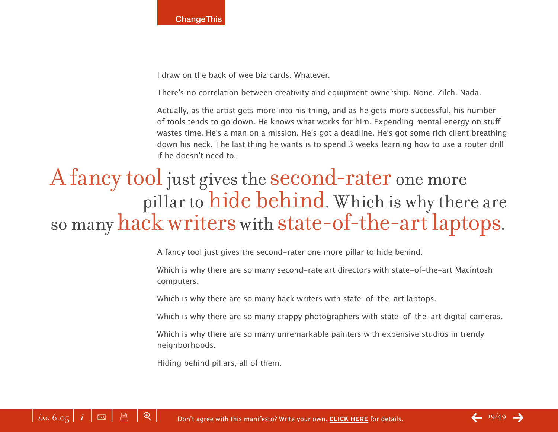

I draw on the back of wee biz cards. Whatever.

There's no correlation between creativity and equipment ownership. None. Zilch. Nada.

Actually, as the artist gets more into his thing, and as he gets more successful, his number of tools tends to go down. He knows what works for him. Expending mental energy on stuff wastes time. He's a man on a mission. He's got a deadline. He's got some rich client breathing down his neck. The last thing he wants is to spend 3 weeks learning how to use a router drill if he doesn't need to.

## A fancy tool just gives the second-rater one more pillar to hide behind. Which is why there are so many hack writers with state-of-the-art laptops.

A fancy tool just gives the second-rater one more pillar to hide behind.

Which is why there are so many second-rate art directors with state-of-the-art Macintosh computers.

Which is why there are so many hack writers with state-of-the-art laptops.

Which is why there are so many crappy photographers with state-of-the-art digital cameras.

Which is why there are so many unremarkable painters with expensive studios in trendy neighborhoods.

Hiding behind pillars, all of them.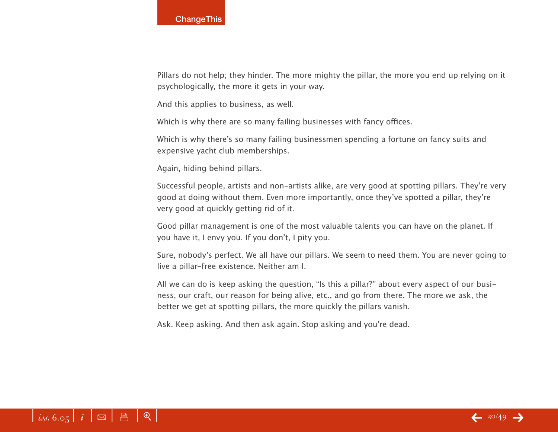Pillars do not help; they hinder. The more mighty the pillar, the more you end up relying on it psychologically, the more it gets in your way.

And this applies to business, as well.

Which is why there are so many failing businesses with fancy offices.

Which is why there's so many failing businessmen spending a fortune on fancy suits and expensive yacht club memberships.

Again, hiding behind pillars.

Successful people, artists and non-artists alike, are very good at spotting pillars. They're very good at doing without them. Even more importantly, once they've spotted a pillar, they're very good at quickly getting rid of it.

Good pillar management is one of the most valuable talents you can have on the planet. If you have it, I envy you. If you don't, I pity you.

Sure, nobody's perfect. We all have our pillars. We seem to need them. You are never going to live a pillar-free existence. Neither am I.

All we can do is keep asking the question, "Is this a pillar?" about every aspect of our business, our craft, our reason for being alive, etc., and go from there. The more we ask, the better we get at spotting pillars, the more quickly the pillars vanish.

Ask. Keep asking. And then ask again. Stop asking and you're dead.

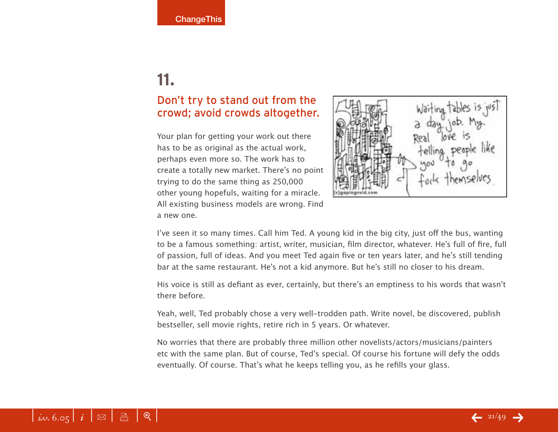#### Don't try to stand out from the crowd; avoid crowds altogether.

Your plan for getting your work out there has to be as original as the actual work, perhaps even more so. The work has to create a totally new market. There's no point trying to do the same thing as 250,000 other young hopefuls, waiting for a miracle. All existing business models are wrong. Find a new one.



I've seen it so many times. Call him Ted. A young kid in the big city, just off the bus, wanting to be a famous something: artist, writer, musician, film director, whatever. He's full of fire, full of passion, full of ideas. And you meet Ted again five or ten years later, and he's still tending bar at the same restaurant. He's not a kid anymore. But he's still no closer to his dream.

His voice is still as defiant as ever, certainly, but there's an emptiness to his words that wasn't there before.

Yeah, well, Ted probably chose a very well-trodden path. Write novel, be discovered, publish bestseller, sell movie rights, retire rich in 5 years. Or whatever.

No worries that there are probably three million other novelists/actors/musicians/painters etc with the same plan. But of course, Ted's special. Of course his fortune will defy the odds eventually. Of course. That's what he keeps telling you, as he refills your glass.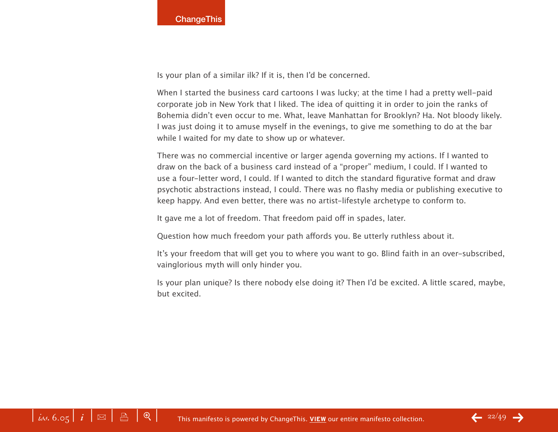Is your plan of a similar ilk? If it is, then I'd be concerned.

When I started the business card cartoons I was lucky; at the time I had a pretty well-paid corporate job in New York that I liked. The idea of quitting it in order to join the ranks of Bohemia didn't even occur to me. What, leave Manhattan for Brooklyn? Ha. Not bloody likely. I was just doing it to amuse myself in the evenings, to give me something to do at the bar while I waited for my date to show up or whatever.

There was no commercial incentive or larger agenda governing my actions. If I wanted to draw on the back of a business card instead of a "proper" medium, I could. If I wanted to use a four-letter word, I could. If I wanted to ditch the standard figurative format and draw psychotic abstractions instead, I could. There was no flashy media or publishing executive to keep happy. And even better, there was no artist-lifestyle archetype to conform to.

It gave me a lot of freedom. That freedom paid off in spades, later.

Question how much freedom your path affords you. Be utterly ruthless about it.

It's your freedom that will get you to where you want to go. Blind faith in an over-subscribed, vainglorious myth will only hinder you.

Is your plan unique? Is there nobody else doing it? Then I'd be excited. A little scared, maybe, but excited.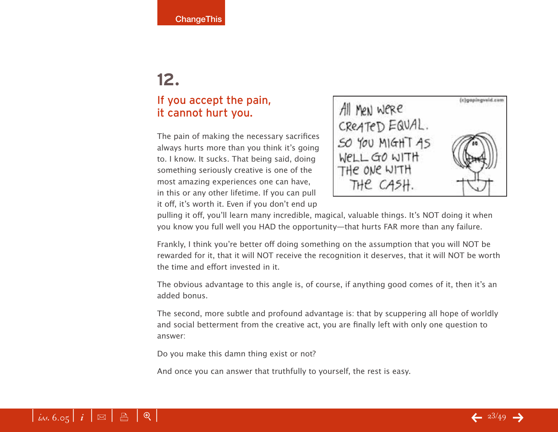#### If you accept the pain, it cannot hurt you.

The pain of making the necessary sacrifices always hurts more than you think it's going to. I know. It sucks. That being said, doing something seriously creative is one of the most amazing experiences one can have, in this or any other lifetime. If you can pull it off, it's worth it. Even if you don't end up



pulling it off, you'll learn many incredible, magical, valuable things. It's NOT doing it when you know you full well you HAD the opportunity—that hurts FAR more than any failure.

Frankly, I think you're better off doing something on the assumption that you will NOT be rewarded for it, that it will NOT receive the recognition it deserves, that it will NOT be worth the time and effort invested in it.

The obvious advantage to this angle is, of course, if anything good comes of it, then it's an added bonus.

The second, more subtle and profound advantage is: that by scuppering all hope of worldly and social betterment from the creative act, you are finally left with only one question to answer:

Do you make this damn thing exist or not?

And once you can answer that truthfully to yourself, the rest is easy.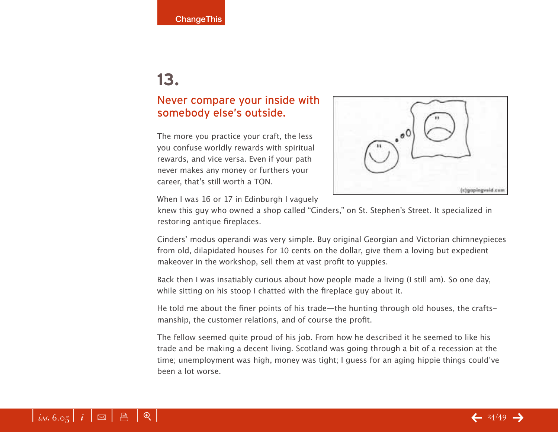#### Never compare your inside with somebody else's outside.

The more you practice your craft, the less you confuse worldly rewards with spiritual rewards, and vice versa. Even if your path never makes any money or furthers your career, that's still worth a TON.



When I was 16 or 17 in Edinburgh I vaguely

knew this guy who owned a shop called "Cinders," on St. Stephen's Street. It specialized in restoring antique fireplaces.

Cinders' modus operandi was very simple. Buy original Georgian and Victorian chimneypieces from old, dilapidated houses for 10 cents on the dollar, give them a loving but expedient makeover in the workshop, sell them at vast profit to yuppies.

Back then I was insatiably curious about how people made a living (I still am). So one day, while sitting on his stoop I chatted with the fireplace guy about it.

He told me about the finer points of his trade—the hunting through old houses, the craftsmanship, the customer relations, and of course the profit.

The fellow seemed quite proud of his job. From how he described it he seemed to like his trade and be making a decent living. Scotland was going through a bit of a recession at the time; unemployment was high, money was tight; I guess for an aging hippie things could've been a lot worse.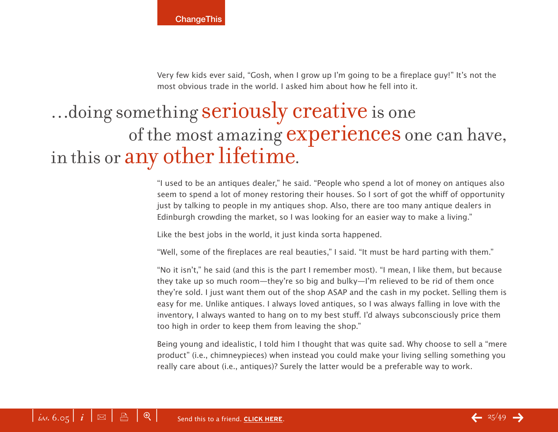Very few kids ever said, "Gosh, when I grow up I'm going to be a fireplace guy!" It's not the most obvious trade in the world. I asked him about how he fell into it.

## …doing something seriously creative is one of the most amazing experiences one can have, in this or any other lifetime.

"I used to be an antiques dealer," he said. "People who spend a lot of money on antiques also seem to spend a lot of money restoring their houses. So I sort of got the whiff of opportunity just by talking to people in my antiques shop. Also, there are too many antique dealers in Edinburgh crowding the market, so I was looking for an easier way to make a living."

Like the best jobs in the world, it just kinda sorta happened.

"Well, some of the fireplaces are real beauties," I said. "It must be hard parting with them."

"No it isn't," he said (and this is the part I remember most). "I mean, I like them, but because they take up so much room—they're so big and bulky—I'm relieved to be rid of them once they're sold. I just want them out of the shop ASAP and the cash in my pocket. Selling them is easy for me. Unlike antiques. I always loved antiques, so I was always falling in love with the inventory, I always wanted to hang on to my best stuff. I'd always subconsciously price them too high in order to keep them from leaving the shop."

Being young and idealistic, I told him I thought that was quite sad. Why choose to sell a "mere product" (i.e., chimneypieces) when instead you could make your living selling something you really care about (i.e., antiques)? Surely the latter would be a preferable way to work.

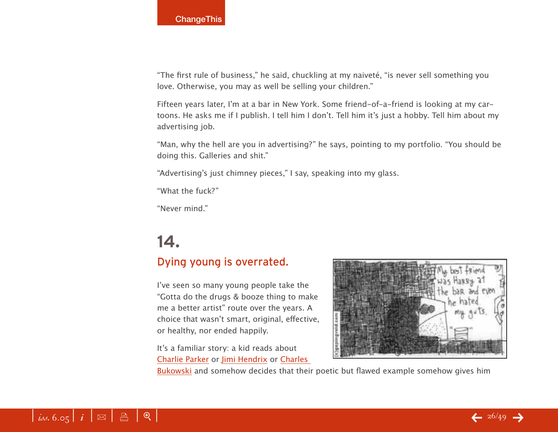"The first rule of business," he said, chuckling at my naiveté, "is never sell something you love. Otherwise, you may as well be selling your children."

Fifteen years later, I'm at a bar in New York. Some friend-of-a-friend is looking at my cartoons. He asks me if I publish. I tell him I don't. Tell him it's just a hobby. Tell him about my advertising job.

"Man, why the hell are you in advertising?" he says, pointing to my portfolio. "You should be doing this. Galleries and shit."

"Advertising's just chimney pieces," I say, speaking into my glass.

"What the fuck?"

"Never mind."

### **14.**

#### Dying young is overrated.

I've seen so many young people take the "Gotta do the drugs & booze thing to make me a better artist" route over the years. A choice that wasn't smart, original, effective, or healthy, nor ended happily.

It's a familiar story: a kid reads about Charlie Parker or Jimi Hendrix or Charles



Bukowski and somehow decides that their poetic but flawed example somehow gives him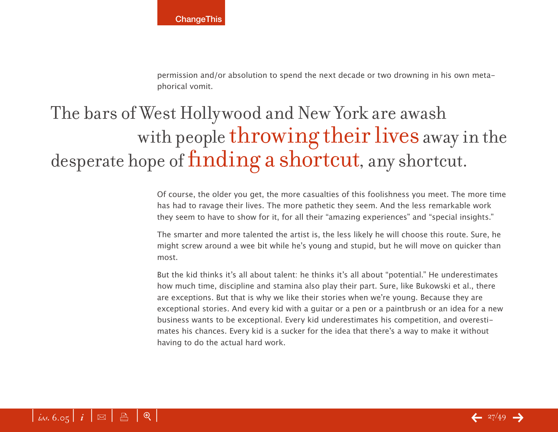permission and/or absolution to spend the next decade or two drowning in his own metaphorical vomit.

## The bars of West Hollywood and New York are awash with people throwing their lives away in the desperate hope of finding a shortcut, any shortcut.

Of course, the older you get, the more casualties of this foolishness you meet. The more time has had to ravage their lives. The more pathetic they seem. And the less remarkable work they seem to have to show for it, for all their "amazing experiences" and "special insights."

The smarter and more talented the artist is, the less likely he will choose this route. Sure, he might screw around a wee bit while he's young and stupid, but he will move on quicker than most.

But the kid thinks it's all about talent: he thinks it's all about "potential." He underestimates how much time, discipline and stamina also play their part. Sure, like Bukowski et al., there are exceptions. But that is why we like their stories when we're young. Because they are exceptional stories. And every kid with a guitar or a pen or a paintbrush or an idea for a new business wants to be exceptional. Every kid underestimates his competition, and overestimates his chances. Every kid is a sucker for the idea that there's a way to make it without having to do the actual hard work.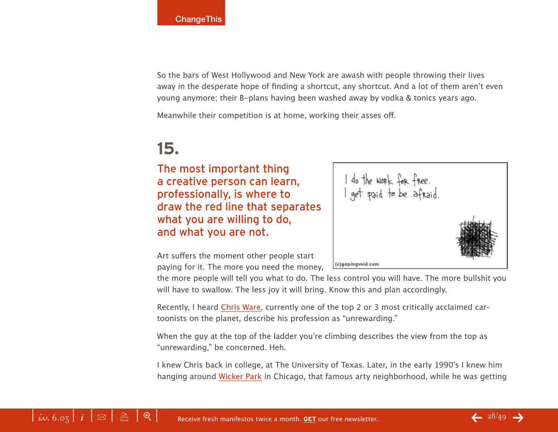So the bars of West Hollywood and New York are awash with people throwing their lives away in the desperate hope of finding a shortcut, any shortcut. And a lot of them aren't even young anymore; their B-plans having been washed away by vodka & tonics years ago.

Meanwhile their competition is at home, working their asses off.

### **15.**

The most important thing a creative person can learn, professionally, is where to draw the red line that separates what you are willing to do, and what you are not.

Art suffers the moment other people start paying for it. The more you need the money,

the more people will tell you what to do. The less control you will have. The more bullshit you will have to swallow. The less joy it will bring. Know this and plan accordingly.

Recently, I heard Chris Ware, currently one of the top 2 or 3 most critically acclaimed cartoonists on the planet, describe his profession as "unrewarding."

When the guy at the top of the ladder you're climbing describes the view from the top as "unrewarding," be concerned. Heh.

I knew Chris back in college, at The University of Texas. Later, in the early 1990's I knew him hanging around Wicker Park in Chicago, that famous arty neighborhood, while he was getting

do the work for free.<br>get paid to be afraid. (c)gapingvoid.com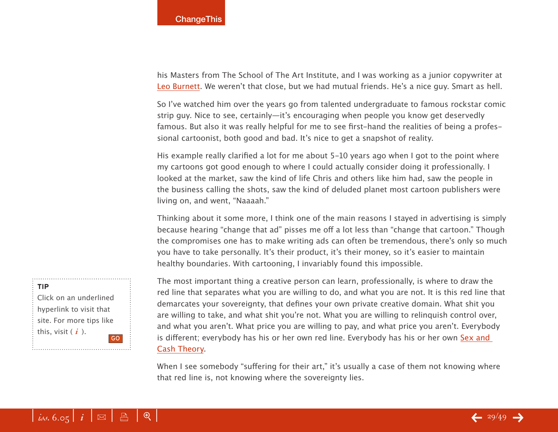his Masters from The School of The Art Institute, and I was working as a junior copywriter at Leo Burnett. We weren't that close, but we had mutual friends. He's a nice guy. Smart as hell.

So I've watched him over the years go from talented undergraduate to famous rockstar comic strip guy. Nice to see, certainly—it's encouraging when people you know get deservedly famous. But also it was really helpful for me to see first-hand the realities of being a professional cartoonist, both good and bad. It's nice to get a snapshot of reality.

His example really clarified a lot for me about 5-10 years ago when I got to the point where my cartoons got good enough to where I could actually consider doing it professionally. I looked at the market, saw the kind of life Chris and others like him had, saw the people in the business calling the shots, saw the kind of deluded planet most cartoon publishers were living on, and went, "Naaaah."

Thinking about it some more, I think one of the main reasons I stayed in advertising is simply because hearing "change that ad" pisses me off a lot less than "change that cartoon." Though the compromises one has to make writing ads can often be tremendous, there's only so much you have to take personally. It's their product, it's their money, so it's easier to maintain healthy boundaries. With cartooning, I invariably found this impossible.

The most important thing a creative person can learn, professionally, is where to draw the red line that separates what you are willing to do, and what you are not. It is this red line that demarcates your sovereignty, that defines your own private creative domain. What shit you are willing to take, and what shit you're not. What you are willing to relinquish control over, and what you aren't. What price you are willing to pay, and what price you aren't. Everybody is different; everybody has his or her own red line. Everybody has his or her own Sex and Cash Theory.

When I see somebody "suffering for their art," it's usually a case of them not knowing where that red line is, not knowing where the sovereignty lies.

#### **TIP**

Click on an underlined hyperlink to visit that site. For more tips like this, visit ( *i* ). GO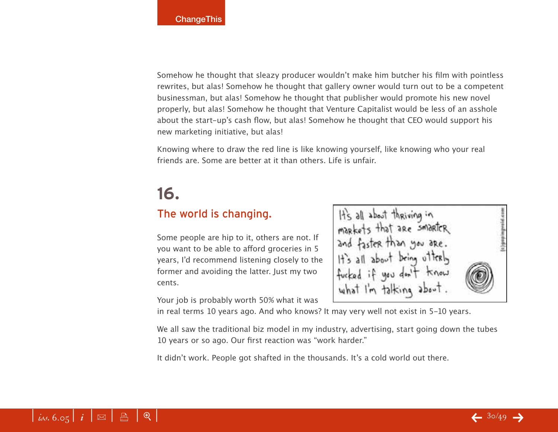Somehow he thought that sleazy producer wouldn't make him butcher his film with pointless rewrites, but alas! Somehow he thought that gallery owner would turn out to be a competent businessman, but alas! Somehow he thought that publisher would promote his new novel properly, but alas! Somehow he thought that Venture Capitalist would be less of an asshole about the start-up's cash flow, but alas! Somehow he thought that CEO would support his new marketing initiative, but alas!

Knowing where to draw the red line is like knowing yourself, like knowing who your real friends are. Some are better at it than others. Life is unfair.

### **16.**

#### The world is changing.

Some people are hip to it, others are not. If you want to be able to afford groceries in 5 years, I'd recommend listening closely to the former and avoiding the latter. Just my two cents.

Your job is probably worth 50% what it was

It's all about thriving in markets that are smart and faster than you are. you don't what I'm talking about.

in real terms 10 years ago. And who knows? It may very well not exist in 5-10 years.

We all saw the traditional biz model in my industry, advertising, start going down the tubes 10 years or so ago. Our first reaction was "work harder."

It didn't work. People got shafted in the thousands. It's a cold world out there.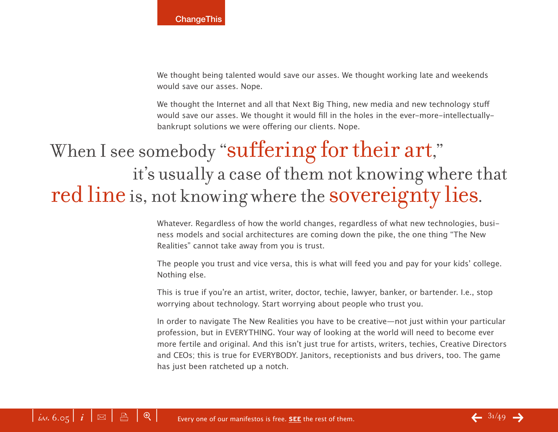We thought being talented would save our asses. We thought working late and weekends would save our asses. Nope.

We thought the Internet and all that Next Big Thing, new media and new technology stuff would save our asses. We thought it would fill in the holes in the ever-more-intellectuallybankrupt solutions we were offering our clients. Nope.

## When I see somebody "suffering for their art," it's usually a case of them not knowing where that red line is, not knowing where the sovereignty lies.

Whatever. Regardless of how the world changes, regardless of what new technologies, business models and social architectures are coming down the pike, the one thing "The New Realities" cannot take away from you is trust.

The people you trust and vice versa, this is what will feed you and pay for your kids' college. Nothing else.

This is true if you're an artist, writer, doctor, techie, lawyer, banker, or bartender. I.e., stop worrying about technology. Start worrying about people who trust you.

In order to navigate The New Realities you have to be creative—not just within your particular profession, but in EVERYTHING. Your way of looking at the world will need to become ever more fertile and original. And this isn't just true for artists, writers, techies, Creative Directors and CEOs; this is true for EVERYBODY. Janitors, receptionists and bus drivers, too. The game has just been ratcheted up a notch.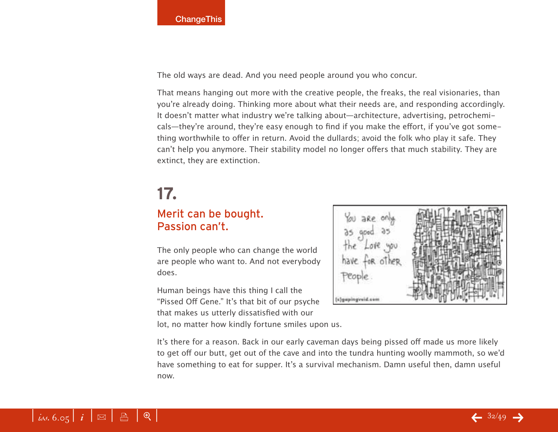The old ways are dead. And you need people around you who concur.

That means hanging out more with the creative people, the freaks, the real visionaries, than you're already doing. Thinking more about what their needs are, and responding accordingly. It doesn't matter what industry we're talking about—architecture, advertising, petrochemicals—they're around, they're easy enough to find if you make the effort, if you've got something worthwhile to offer in return. Avoid the dullards; avoid the folk who play it safe. They can't help you anymore. Their stability model no longer offers that much stability. They are extinct, they are extinction.

### **17.**

#### Merit can be bought. Passion can't.

The only people who can change the world are people who want to. And not everybody does.

Human beings have this thing I call the "Pissed Off Gene." It's that bit of our psyche that makes us utterly dissatisfied with our

lot, no matter how kindly fortune smiles upon us.

(c)gapingveid.com

It's there for a reason. Back in our early caveman days being pissed off made us more likely to get off our butt, get out of the cave and into the tundra hunting woolly mammoth, so we'd have something to eat for supper. It's a survival mechanism. Damn useful then, damn useful now.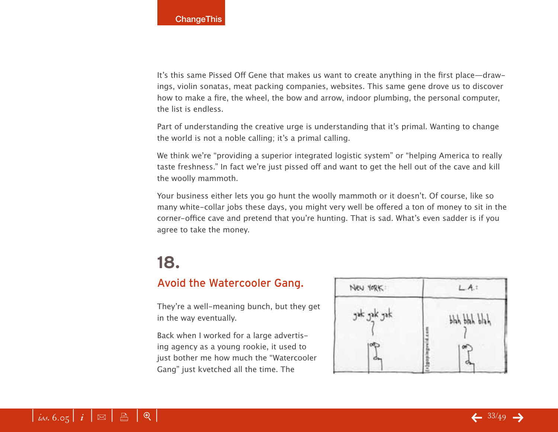It's this same Pissed Off Gene that makes us want to create anything in the first place—drawings, violin sonatas, meat packing companies, websites. This same gene drove us to discover how to make a fire, the wheel, the bow and arrow, indoor plumbing, the personal computer, the list is endless.

Part of understanding the creative urge is understanding that it's primal. Wanting to change the world is not a noble calling; it's a primal calling.

We think we're "providing a superior integrated logistic system" or "helping America to really taste freshness." In fact we're just pissed off and want to get the hell out of the cave and kill the woolly mammoth.

Your business either lets you go hunt the woolly mammoth or it doesn't. Of course, like so many white-collar jobs these days, you might very well be offered a ton of money to sit in the corner-office cave and pretend that you're hunting. That is sad. What's even sadder is if you agree to take the money.

### **18.**

#### Avoid the Watercooler Gang.

They're a well-meaning bunch, but they get in the way eventually.

Back when I worked for a large advertising agency as a young rookie, it used to just bother me how much the "Watercooler Gang" just kvetched all the time. The

| New YORK    |              |  |
|-------------|--------------|--|
| gak gak gak | bhh bhh blah |  |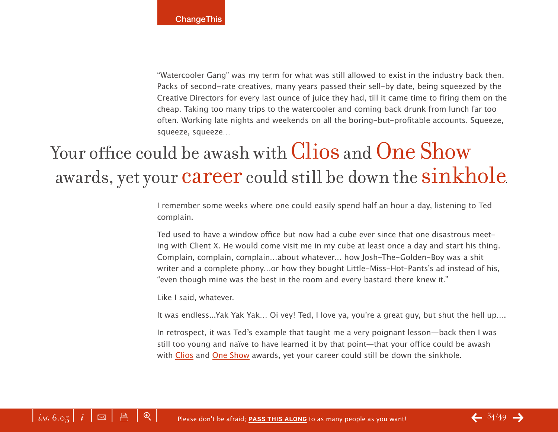"Watercooler Gang" was my term for what was still allowed to exist in the industry back then. Packs of second-rate creatives, many years passed their sell-by date, being squeezed by the Creative Directors for every last ounce of juice they had, till it came time to firing them on the cheap. Taking too many trips to the watercooler and coming back drunk from lunch far too often. Working late nights and weekends on all the boring-but-profitable accounts. Squeeze, squeeze, squeeze…

## Your office could be awash with Clios and One Show awards, yet your career could still be down the sinkhole.

I remember some weeks where one could easily spend half an hour a day, listening to Ted complain.

Ted used to have a window office but now had a cube ever since that one disastrous meeting with Client X. He would come visit me in my cube at least once a day and start his thing. Complain, complain, complain…about whatever… how Josh-The-Golden-Boy was a shit writer and a complete phony…or how they bought Little-Miss-Hot-Pants's ad instead of his, "even though mine was the best in the room and every bastard there knew it."

Like I said, whatever.

It was endless...Yak Yak Yak… Oi vey! Ted, I love ya, you're a great guy, but shut the hell up….

In retrospect, it was Ted's example that taught me a very poignant lesson—back then I was still too young and naïve to have learned it by that point—that your office could be awash with Clios and One Show awards, yet your career could still be down the sinkhole.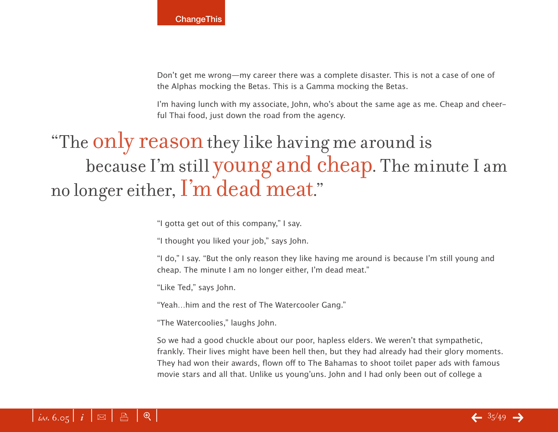Don't get me wrong—my career there was a complete disaster. This is not a case of one of the Alphas mocking the Betas. This is a Gamma mocking the Betas.

I'm having lunch with my associate, John, who's about the same age as me. Cheap and cheerful Thai food, just down the road from the agency.

## "The only reason they like having me around is because I'm still young and cheap. The minute I am no longer either, I'm dead meat."

"I gotta get out of this company," I say.

"I thought you liked your job," says John.

"I do," I say. "But the only reason they like having me around is because I'm still young and cheap. The minute I am no longer either, I'm dead meat."

"Like Ted," says John.

"Yeah…him and the rest of The Watercooler Gang."

"The Watercoolies," laughs John.

So we had a good chuckle about our poor, hapless elders. We weren't that sympathetic, frankly. Their lives might have been hell then, but they had already had their glory moments. They had won their awards, flown off to The Bahamas to shoot toilet paper ads with famous movie stars and all that. Unlike us young'uns. John and I had only been out of college a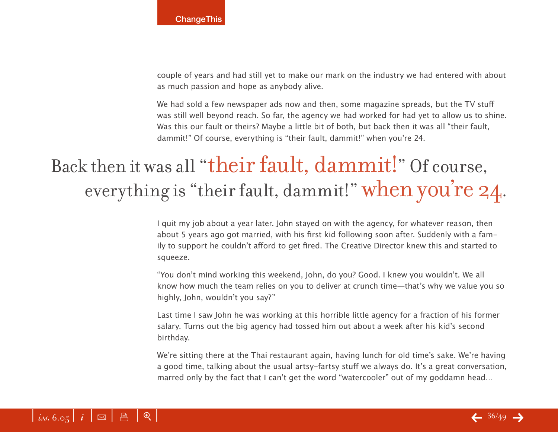couple of years and had still yet to make our mark on the industry we had entered with about as much passion and hope as anybody alive.

We had sold a few newspaper ads now and then, some magazine spreads, but the TV stuff was still well beyond reach. So far, the agency we had worked for had yet to allow us to shine. Was this our fault or theirs? Maybe a little bit of both, but back then it was all "their fault, dammit!" Of course, everything is "their fault, dammit!" when you're 24.

## Back then it was all "their fault, dammit!" Of course, everything is "their fault, dammit!" when you're 24.

I quit my job about a year later. John stayed on with the agency, for whatever reason, then about 5 years ago got married, with his first kid following soon after. Suddenly with a family to support he couldn't afford to get fired. The Creative Director knew this and started to squeeze.

"You don't mind working this weekend, John, do you? Good. I knew you wouldn't. We all know how much the team relies on you to deliver at crunch time—that's why we value you so highly, John, wouldn't you say?"

Last time I saw John he was working at this horrible little agency for a fraction of his former salary. Turns out the big agency had tossed him out about a week after his kid's second birthday.

We're sitting there at the Thai restaurant again, having lunch for old time's sake. We're having a good time, talking about the usual artsy-fartsy stuff we always do. It's a great conversation, marred only by the fact that I can't get the word "watercooler" out of my goddamn head…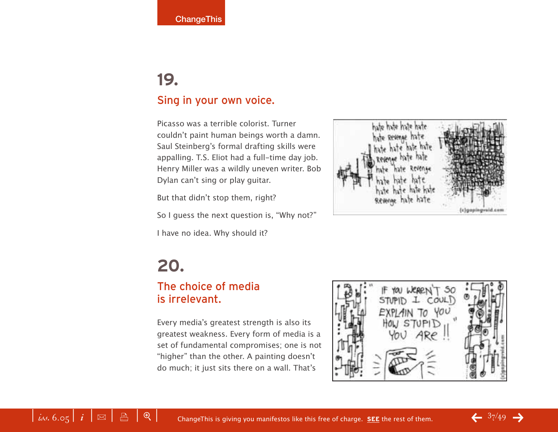### **19.**  Sing in your own voice.

Picasso was a terrible colorist. Turner couldn't paint human beings worth a damn. Saul Steinberg's formal drafting skills were appalling. T.S. Eliot had a full-time day job. Henry Miller was a wildly uneven writer. Bob Dylan can't sing or play guitar.

But that didn't stop them, right?

So I guess the next question is, "Why not?"

I have no idea. Why should it?



### **20.**

#### The choice of media is irrelevant.

Every media's greatest strength is also its greatest weakness. Every form of media is a set of fundamental compromises; one is not "higher" than the other. A painting doesn't do much; it just sits there on a wall. That's

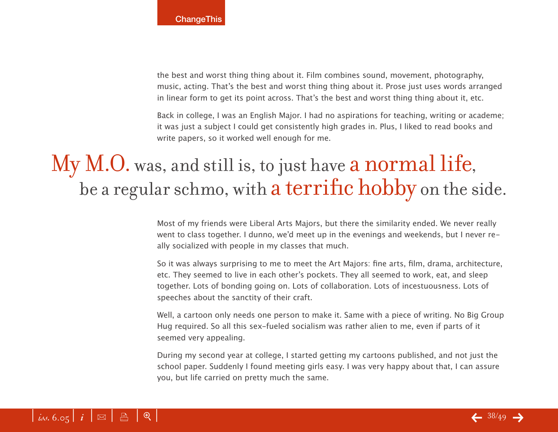the best and worst thing thing about it. Film combines sound, movement, photography, music, acting. That's the best and worst thing thing about it. Prose just uses words arranged in linear form to get its point across. That's the best and worst thing thing about it, etc.

Back in college, I was an English Major. I had no aspirations for teaching, writing or academe; it was just a subject I could get consistently high grades in. Plus, I liked to read books and write papers, so it worked well enough for me.

## My M.O. was, and still is, to just have a normal life, be a regular schmo, with a terrific hobby on the side.

Most of my friends were Liberal Arts Majors, but there the similarity ended. We never really went to class together. I dunno, we'd meet up in the evenings and weekends, but I never really socialized with people in my classes that much.

So it was always surprising to me to meet the Art Majors: fine arts, film, drama, architecture, etc. They seemed to live in each other's pockets. They all seemed to work, eat, and sleep together. Lots of bonding going on. Lots of collaboration. Lots of incestuousness. Lots of speeches about the sanctity of their craft.

Well, a cartoon only needs one person to make it. Same with a piece of writing. No Big Group Hug required. So all this sex-fueled socialism was rather alien to me, even if parts of it seemed very appealing.

During my second year at college, I started getting my cartoons published, and not just the school paper. Suddenly I found meeting girls easy. I was very happy about that, I can assure you, but life carried on pretty much the same.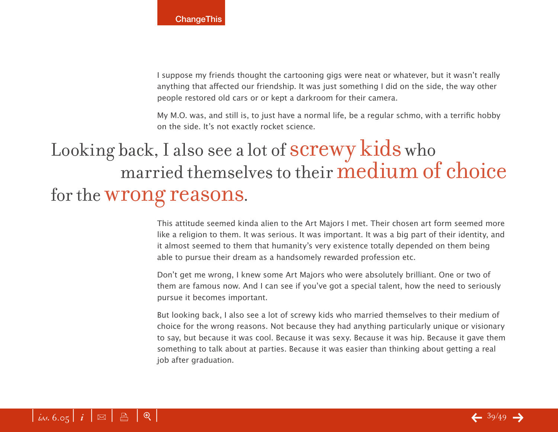I suppose my friends thought the cartooning gigs were neat or whatever, but it wasn't really anything that affected our friendship. It was just something I did on the side, the way other people restored old cars or or kept a darkroom for their camera.

My M.O. was, and still is, to just have a normal life, be a regular schmo, with a terrific hobby on the side. It's not exactly rocket science.

## Looking back, I also see a lot of screwy kids who married themselves to their medium of choice for the wrong reasons.

This attitude seemed kinda alien to the Art Majors I met. Their chosen art form seemed more like a religion to them. It was serious. It was important. It was a big part of their identity, and it almost seemed to them that humanity's very existence totally depended on them being able to pursue their dream as a handsomely rewarded profession etc.

Don't get me wrong, I knew some Art Majors who were absolutely brilliant. One or two of them are famous now. And I can see if you've got a special talent, how the need to seriously pursue it becomes important.

But looking back, I also see a lot of screwy kids who married themselves to their medium of choice for the wrong reasons. Not because they had anything particularly unique or visionary to say, but because it was cool. Because it was sexy. Because it was hip. Because it gave them something to talk about at parties. Because it was easier than thinking about getting a real job after graduation.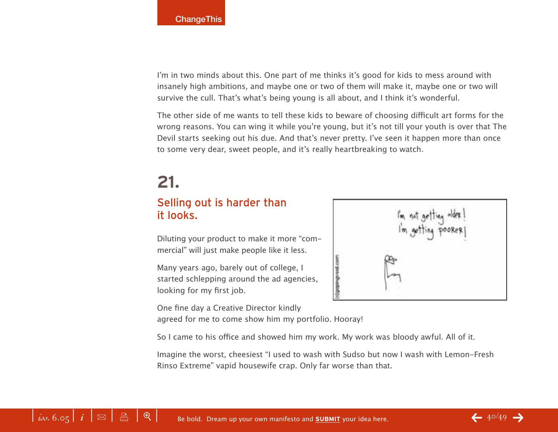I'm in two minds about this. One part of me thinks it's good for kids to mess around with insanely high ambitions, and maybe one or two of them will make it, maybe one or two will survive the cull. That's what's being young is all about, and I think it's wonderful.

The other side of me wants to tell these kids to beware of choosing difficult art forms for the wrong reasons. You can wing it while you're young, but it's not till your youth is over that The Devil starts seeking out his due. And that's never pretty. I've seen it happen more than once to some very dear, sweet people, and it's really heartbreaking to watch.

## **21.**

#### Selling out is harder than it looks.

Diluting your product to make it more "commercial" will just make people like it less.

Many years ago, barely out of college, I started schlepping around the ad agencies, looking for my first job.

One fine day a Creative Director kindly agreed for me to come show him my portfolio. Hooray!

So I came to his office and showed him my work. My work was bloody awful. All of it.

Imagine the worst, cheesiest "I used to wash with Sudso but now I wash with Lemon-Fresh Rinso Extreme" vapid housewife crap. Only far worse than that.

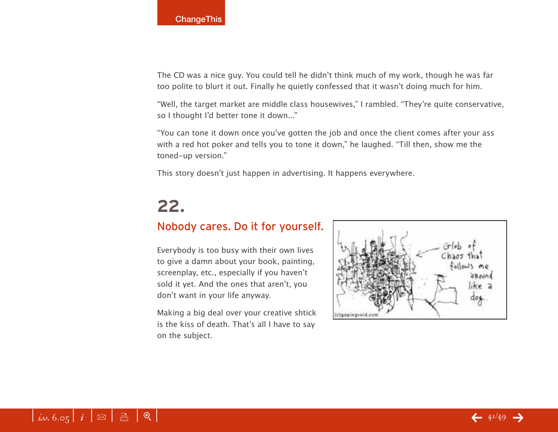The CD was a nice guy. You could tell he didn't think much of my work, though he was far too polite to blurt it out. Finally he quietly confessed that it wasn't doing much for him.

"Well, the target market are middle class housewives," I rambled. "They're quite conservative, so I thought I'd better tone it down..."

"You can tone it down once you've gotten the job and once the client comes after your ass with a red hot poker and tells you to tone it down," he laughed. "Till then, show me the toned-up version."

This story doesn't just happen in advertising. It happens everywhere.

## **22.**

#### Nobody cares. Do it for yourself.

Everybody is too busy with their own lives to give a damn about your book, painting, screenplay, etc., especially if you haven't sold it yet. And the ones that aren't, you don't want in your life anyway.

Making a big deal over your creative shtick is the kiss of death. That's all I have to say on the subject.

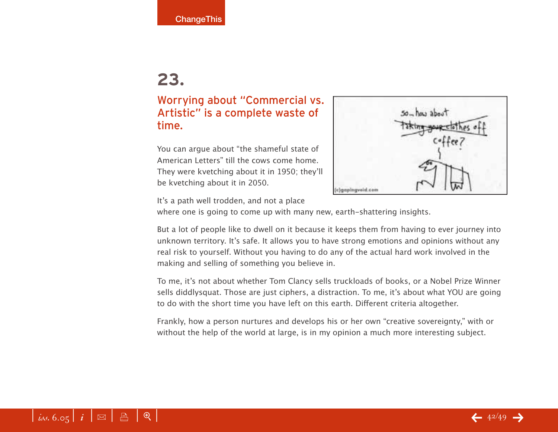#### Worrying about "Commercial vs. Artistic" is a complete waste of time.

You can argue about "the shameful state of American Letters" till the cows come home. They were kvetching about it in 1950; they'll be kvetching about it in 2050.



It's a path well trodden, and not a place

where one is going to come up with many new, earth-shattering insights.

But a lot of people like to dwell on it because it keeps them from having to ever journey into unknown territory. It's safe. It allows you to have strong emotions and opinions without any real risk to yourself. Without you having to do any of the actual hard work involved in the making and selling of something you believe in.

To me, it's not about whether Tom Clancy sells truckloads of books, or a Nobel Prize Winner sells diddlysquat. Those are just ciphers, a distraction. To me, it's about what YOU are going to do with the short time you have left on this earth. Different criteria altogether.

Frankly, how a person nurtures and develops his or her own "creative sovereignty," with or without the help of the world at large, is in my opinion a much more interesting subject.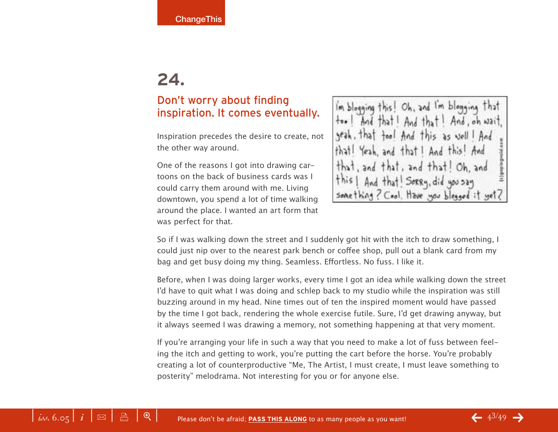#### Don't worry about finding inspiration. It comes eventually.

Inspiration precedes the desire to create, not the other way around.

One of the reasons I got into drawing cartoons on the back of business cards was I could carry them around with me. Living downtown, you spend a lot of time walking around the place. I wanted an art form that was perfect for that.

Im blogging this! Oh, and I'm blogging that Oh, and And that Sorry, did you say something? Cool. Have you blogged it yet

So if I was walking down the street and I suddenly got hit with the itch to draw something, I could just nip over to the nearest park bench or coffee shop, pull out a blank card from my bag and get busy doing my thing. Seamless. Effortless. No fuss. I like it.

Before, when I was doing larger works, every time I got an idea while walking down the street I'd have to quit what I was doing and schlep back to my studio while the inspiration was still buzzing around in my head. Nine times out of ten the inspired moment would have passed by the time I got back, rendering the whole exercise futile. Sure, I'd get drawing anyway, but it always seemed I was drawing a memory, not something happening at that very moment.

If you're arranging your life in such a way that you need to make a lot of fuss between feeling the itch and getting to work, you're putting the cart before the horse. You're probably creating a lot of counterproductive "Me, The Artist, I must create, I must leave something to posterity" melodrama. Not interesting for you or for anyone else.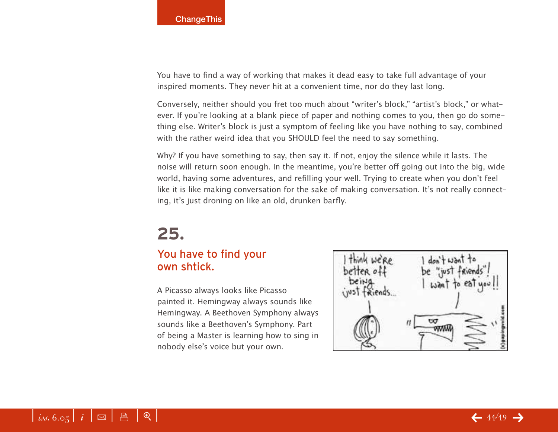You have to find a way of working that makes it dead easy to take full advantage of your inspired moments. They never hit at a convenient time, nor do they last long.

Conversely, neither should you fret too much about "writer's block," "artist's block," or whatever. If you're looking at a blank piece of paper and nothing comes to you, then go do something else. Writer's block is just a symptom of feeling like you have nothing to say, combined with the rather weird idea that you SHOULD feel the need to say something.

Why? If you have something to say, then say it. If not, enjoy the silence while it lasts. The noise will return soon enough. In the meantime, you're better off going out into the big, wide world, having some adventures, and refilling your well. Trying to create when you don't feel like it is like making conversation for the sake of making conversation. It's not really connecting, it's just droning on like an old, drunken barfly.

### **25.**

#### You have to find your own shtick.

A Picasso always looks like Picasso painted it. Hemingway always sounds like Hemingway. A Beethoven Symphony always sounds like a Beethoven's Symphony. Part of being a Master is learning how to sing in nobody else's voice but your own.

 $tan45$ ₩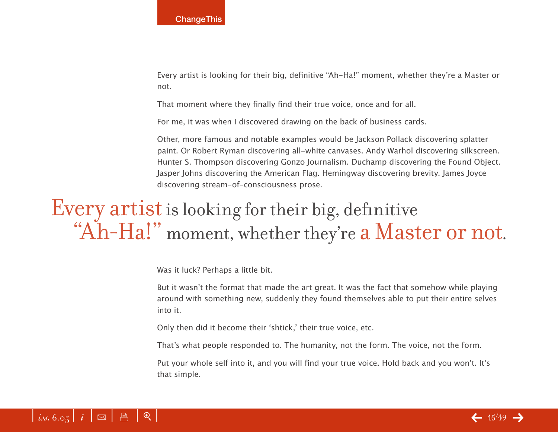Every artist is looking for their big, definitive "Ah-Ha!" moment, whether they're a Master or not.

That moment where they finally find their true voice, once and for all.

For me, it was when I discovered drawing on the back of business cards.

Other, more famous and notable examples would be Jackson Pollack discovering splatter paint. Or Robert Ryman discovering all-white canvases. Andy Warhol discovering silkscreen. Hunter S. Thompson discovering Gonzo Journalism. Duchamp discovering the Found Object. Jasper Johns discovering the American Flag. Hemingway discovering brevity. James Joyce discovering stream-of-consciousness prose.

## Every artist is looking for their big, definitive "Ah-Ha!" moment, whether they're a Master or not.

Was it luck? Perhaps a little bit.

But it wasn't the format that made the art great. It was the fact that somehow while playing around with something new, suddenly they found themselves able to put their entire selves into it.

Only then did it become their ʻshtick,' their true voice, etc.

That's what people responded to. The humanity, not the form. The voice, not the form.

Put your whole self into it, and you will find your true voice. Hold back and you won't. It's that simple.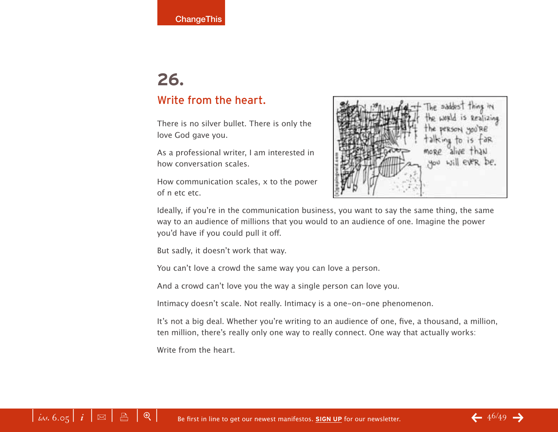### **26.**  Write from the heart.

There is no silver bullet. There is only the love God gave you.

As a professional writer, I am interested in how conversation scales.

How communication scales, x to the power of n etc etc.



Ideally, if you're in the communication business, you want to say the same thing, the same way to an audience of millions that you would to an audience of one. Imagine the power you'd have if you could pull it off.

But sadly, it doesn't work that way.

You can't love a crowd the same way you can love a person.

And a crowd can't love you the way a single person can love you.

Intimacy doesn't scale. Not really. Intimacy is a one-on-one phenomenon.

It's not a big deal. Whether you're writing to an audience of one, five, a thousand, a million, ten million, there's really only one way to really connect. One way that actually works:

Write from the heart.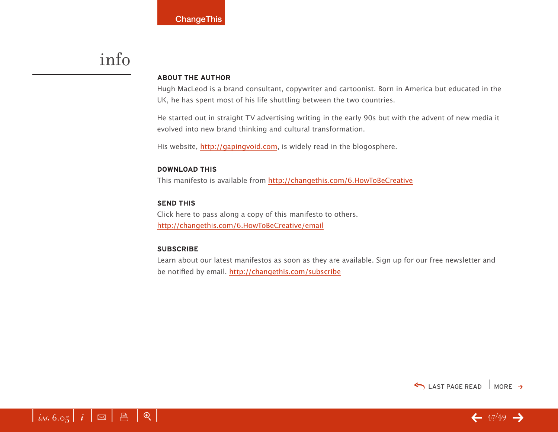## info

#### **ABOUT THE AUTHOR**

Hugh MacLeod is a brand consultant, copywriter and cartoonist. Born in America but educated in the UK, he has spent most of his life shuttling between the two countries.

He started out in straight TV advertising writing in the early 90s but with the advent of new media it evolved into new brand thinking and cultural transformation.

His website, [http://gapingvoid.com,](http://gapingvoid.com) is widely read in the blogosphere.

#### **DOWNLOAD THIS**

This manifesto is available from <http://changethis.com/6.HowToBeCreative>

#### **SEND THIS**

Click here to pass along a copy of this manifesto to others. <http://changethis.com/6.HowToBeCreative/email>

#### **SUBSCRIBE**

Learn about our latest manifestos as soon as they are available. Sign up for our free newsletter and be notified by email.<http://changethis.com/subscribe>



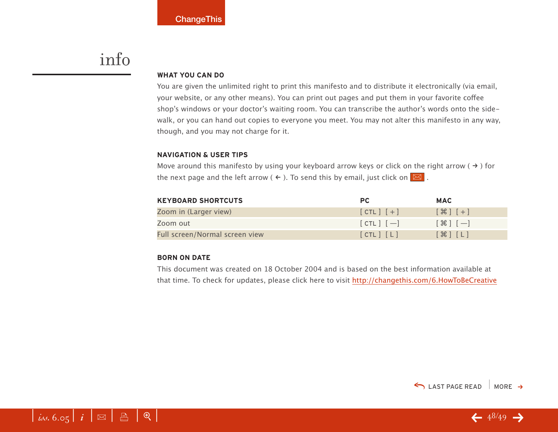## info

#### **WHAT YOU CAN DO**

You are given the unlimited right to print this manifesto and to distribute it electronically (via email, your website, or any other means). You can print out pages and put them in your favorite coffee shop's windows or your doctor's waiting room. You can transcribe the author's words onto the sidewalk, or you can hand out copies to everyone you meet. You may not alter this manifesto in any way, though, and you may not charge for it.

#### **NAVIGATION & USER TIPS**

Move around this manifesto by using your keyboard arrow keys or click on the right arrow ( $\rightarrow$ ) for the next page and the left arrow (  $\leftarrow$  ). To send this by email, just click on  $\boxed{\boxtimes}$  .

| <b>KEYBOARD SHORTCUTS</b>      | PC.           | <b>MAC</b>                                                    |
|--------------------------------|---------------|---------------------------------------------------------------|
| Zoom in (Larger view)          | $[CIL]$ $[+]$ | $[$ $\frac{1}{2}$ $[$ $\frac{1}{2}$ $]$ $[$ $\frac{1}{2}$ $]$ |
| Zoom out                       | $[CIL]$ $[-]$ | $[\mathcal{H}]$ $[-]$                                         |
| Full screen/Normal screen view | [CHL] [L]     | $[\mathcal{H}]$ $[L]$                                         |

#### **BORN ON DATE**

This document was created on 18 October 2004 and is based on the best information available at that time. To check for updates, please click here to visit <http://changethis.com/6.HowToBeCreative>



 $-48/49 -$